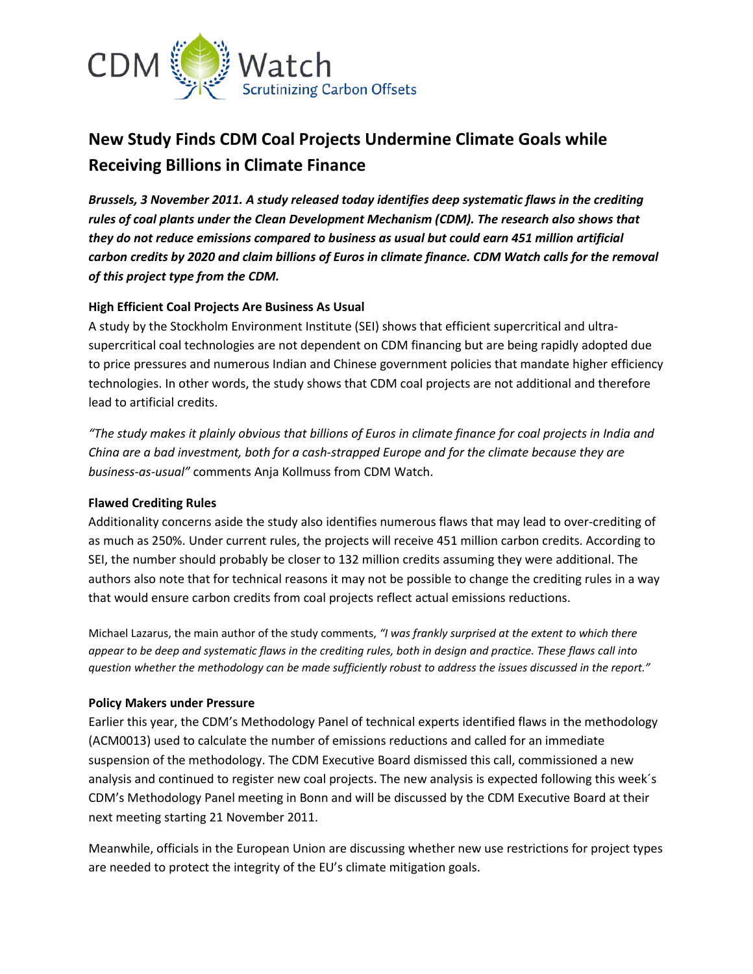

# **New Study Finds CDM Coal Projects Undermine Climate Goals while Receiving Billions in Climate Finance**

*Brussels, 3 November 2011. A study released today identifies deep systematic flaws in the crediting rules of coal plants under the Clean Development Mechanism (CDM). The research also shows that they do not reduce emissions compared to business as usual but could earn 451 million artificial carbon credits by 2020 and claim billions of Euros in climate finance. CDM Watch calls for the removal of this project type from the CDM.*

# **High Efficient Coal Projects Are Business As Usual**

A study by the Stockholm Environment Institute (SEI) shows that efficient supercritical and ultrasupercritical coal technologies are not dependent on CDM financing but are being rapidly adopted due to price pressures and numerous Indian and Chinese government policies that mandate higher efficiency technologies. In other words, the study shows that CDM coal projects are not additional and therefore lead to artificial credits.

*"The study makes it plainly obvious that billions of Euros in climate finance for coal projects in India and China are a bad investment, both for a cash-strapped Europe and for the climate because they are business-as-usual"* comments Anja Kollmuss from CDM Watch.

### **Flawed Crediting Rules**

Additionality concerns aside the study also identifies numerous flaws that may lead to over-crediting of as much as 250%. Under current rules, the projects will receive 451 million carbon credits. According to SEI, the number should probably be closer to 132 million credits assuming they were additional. The authors also note that for technical reasons it may not be possible to change the crediting rules in a way that would ensure carbon credits from coal projects reflect actual emissions reductions.

Michael Lazarus, the main author of the study comments, *"I was frankly surprised at the extent to which there appear to be deep and systematic flaws in the crediting rules, both in design and practice. These flaws call into question whether the methodology can be made sufficiently robust to address the issues discussed in the report."*

### **Policy Makers under Pressure**

Earlier this year, the CDM's Methodology Panel of technical experts identified flaws in the methodology (ACM0013) used to calculate the number of emissions reductions and called for an immediate suspension of the methodology. The CDM Executive Board dismissed this call, commissioned a new analysis and continued to register new coal projects. The new analysis is expected following this week´s CDM's Methodology Panel meeting in Bonn and will be discussed by the CDM Executive Board at their next meeting starting 21 November 2011.

Meanwhile, officials in the European Union are discussing whether new use restrictions for project types are needed to protect the integrity of the EU's climate mitigation goals.